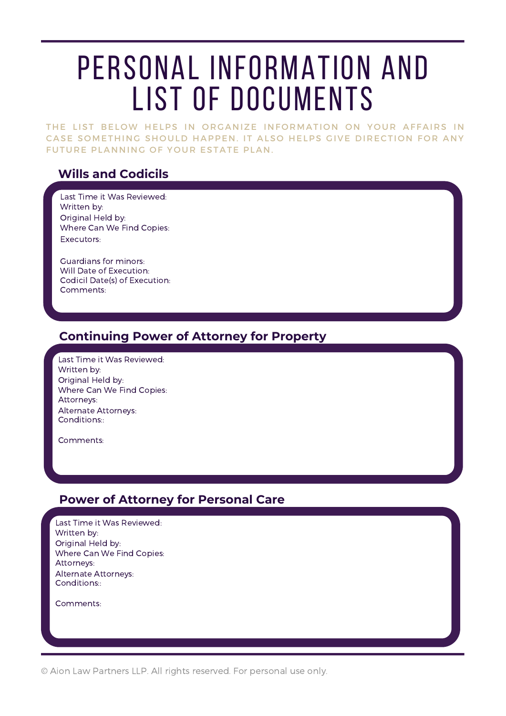# PERSONAL INFORMATION AND LIST OF DOCUMENTS

THE LIST BELOW HELPS IN ORGANIZE INFORMATION ON YOUR AFFAIRS IN CASE SOMETHING SHOULD HAPPEN. IT ALSO HELPS GIVE DIRECTION FOR ANY FUTURE PLANNING OF YOUR ESTATE PLAN.

### **Wills and Codicils**

Last Time it Was Reviewed: Written by: Original Held by: Where Can We Find Copies: Executors:

Comments: Guardians for minors: Codicil Date(s) of Execution: Will Date of Execution:

#### **Continuing Power of Attorney for Property**

Last Time it Was Reviewed: Written by: Original Held by: Where Can We Find Copies: Conditions:: Attorneys: Alternate Attorneys:

Comments:

#### **Power of Attorney for Personal Care**

Last Time it Was Reviewed: Written by: Original Held by: Where Can We Find Copies: Conditions:: Attorneys: Alternate Attorneys:

Comments:

© Aion Law Partners LLP. All rights reserved. For personal use only.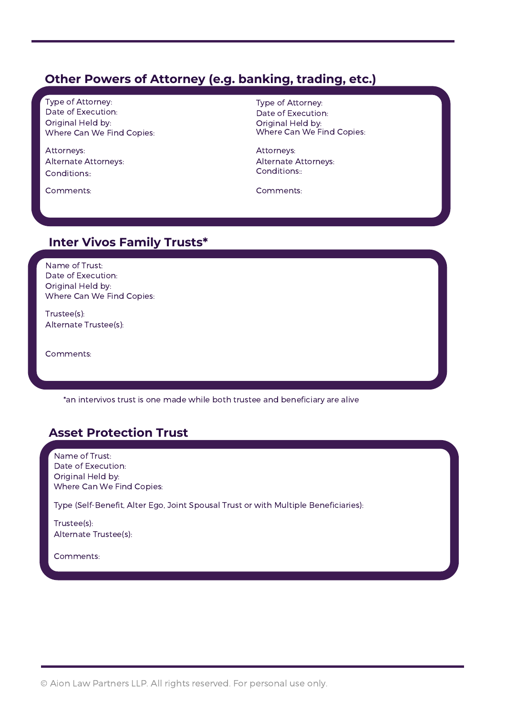### **Other Powers of Attorney (e.g. banking, trading, etc.)**

Type of Attorney: Date of Execution: Original Held by: Where Can We Find Copies:

Conditions:: Attorneys: Alternate Attorneys:

Comments:

Type of Attorney: Date of Execution: Original Held by: Where Can We Find Copies:

Attorneys: Alternate Attorneys: Conditions::

Comments:

#### **Inter Vivos Family Trusts\***

Name of Trust: Date of Execution: Original Held by: Where Can We Find Copies:

Trustee(s): Alternate Trustee(s):

Comments:

\*an intervivos trust is one made while both trustee and beneficiary are alive

## **Asset Protection Trust**

Name of Trust: Date of Execution: Original Held by: Where Can We Find Copies:

Type (Self-Benefit, Alter Ego, Joint Spousal Trust or with Multiple Beneficiaries):

Trustee(s): Alternate Trustee(s):

Comments:

© Aion Law Partners LLP. All rights reserved. For personal use only.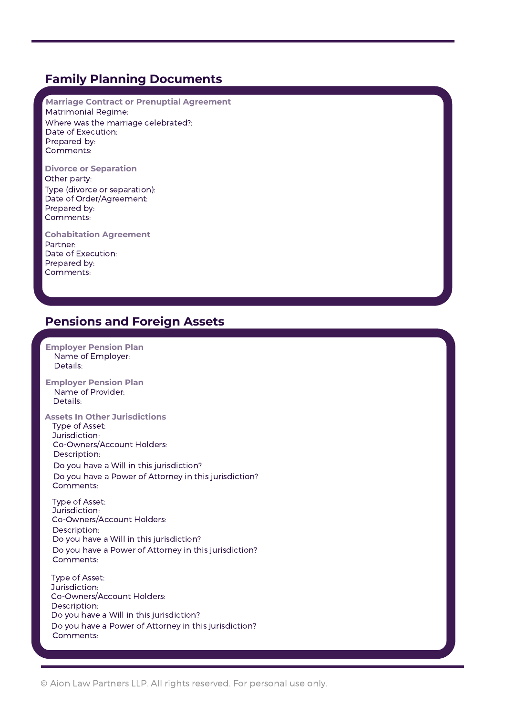#### **Family Planning Documents**

**Marriage Contract or Prenuptial Agreement** Matrimonial Regime: Where was the marriage celebrated?: Comments: Prepared by: Date of Execution:

**Divorce or Separation** Other party: Type (divorce or separation): Comments: Prepared by: Date of Order/Agreement:

**Cohabitation Agreement** Partner: Comments: Prepared by: Date of Execution:

### **Pensions and Foreign Assets**

Type of Asset: Jurisdiction: Description: Comments: **Employer Pension Plan** Name of Employer: Details: **Employer Pension Plan** Name of Provider: Details: **Assets In Other Jurisdictions** Co-Owners/Account Holders: Type of Asset: Jurisdiction: Description: Comments: Co-Owners/Account Holders: Type of Asset: Jurisdiction: Description: Comments: Co-Owners/Account Holders: Do you have a Will in this jurisdiction? Do you have a Power of Attorney in this jurisdiction? Do you have a Will in this jurisdiction? Do you have a Power of Attorney in this jurisdiction? Do you have a Will in this jurisdiction? Do you have a Power of Attorney in this jurisdiction?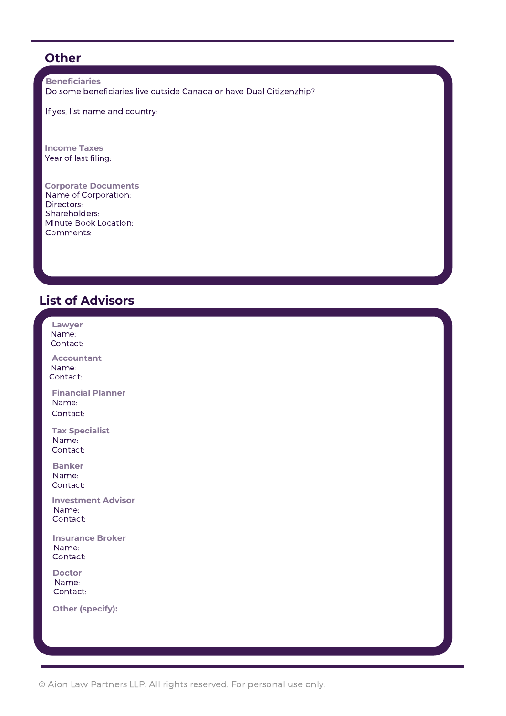### **Other**

**Beneficiaries** Do some beneficiaries live outside Canada or have Dual Citizenzhip?

If yes, list name and country:

**Income Taxes** Year of last filing:

**Corporate Documents** Name of Corporation: Comments: Minute Book Location: Directors: Shareholders:

## **List of Advisors**

| Lawyer<br>Name:<br>Contact:                    |  |
|------------------------------------------------|--|
| <b>Accountant</b><br>Name:<br>Contact:         |  |
| <b>Financial Planner</b><br>Name:<br>Contact:  |  |
| <b>Tax Specialist</b><br>Name:<br>Contact:     |  |
| <b>Banker</b><br>Name:<br>Contact:             |  |
| <b>Investment Advisor</b><br>Name:<br>Contact: |  |
| <b>Insurance Broker</b><br>Name:<br>Contact:   |  |
| <b>Doctor</b><br>Name:<br>Contact:             |  |
| <b>Other (specify):</b>                        |  |
|                                                |  |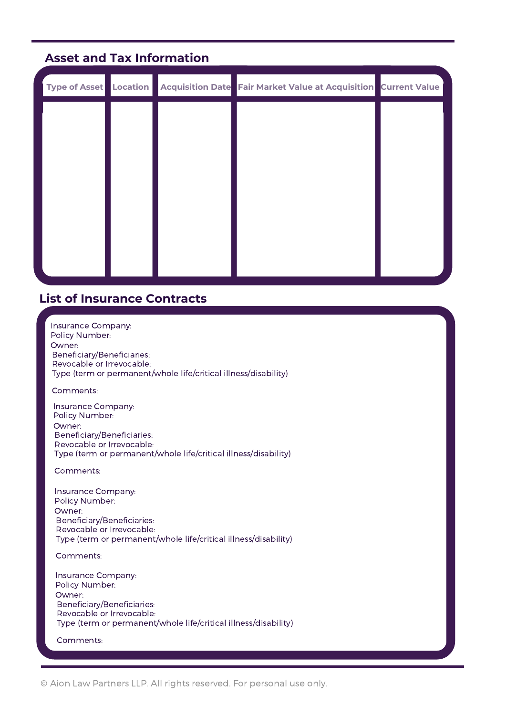## **Asset and Tax Information**

| Type of Asset Location |  | Acquisition Date Fair Market Value at Acquisition Current Value |  |
|------------------------|--|-----------------------------------------------------------------|--|
|                        |  |                                                                 |  |
|                        |  |                                                                 |  |
|                        |  |                                                                 |  |
|                        |  |                                                                 |  |
|                        |  |                                                                 |  |
|                        |  |                                                                 |  |
|                        |  |                                                                 |  |

#### **List of Insurance Contracts**

Insurance Company: Policy Number: Owner: Beneficiary/Beneficiaries: Revocable or Irrevocable: Type (term or permanent/whole life/critical illness/disability)

Comments:

Insurance Company: Policy Number: Owner: Beneficiary/Beneficiaries: Revocable or Irrevocable: Type (term or permanent/whole life/critical illness/disability)

Comments:

Insurance Company: Policy Number: Owner: Beneficiary/Beneficiaries: Revocable or Irrevocable: Type (term or permanent/whole life/critical illness/disability)

Comments:

Insurance Company: Policy Number: Owner: Beneficiary/Beneficiaries: Revocable or Irrevocable: Type (term or permanent/whole life/critical illness/disability)

Comments: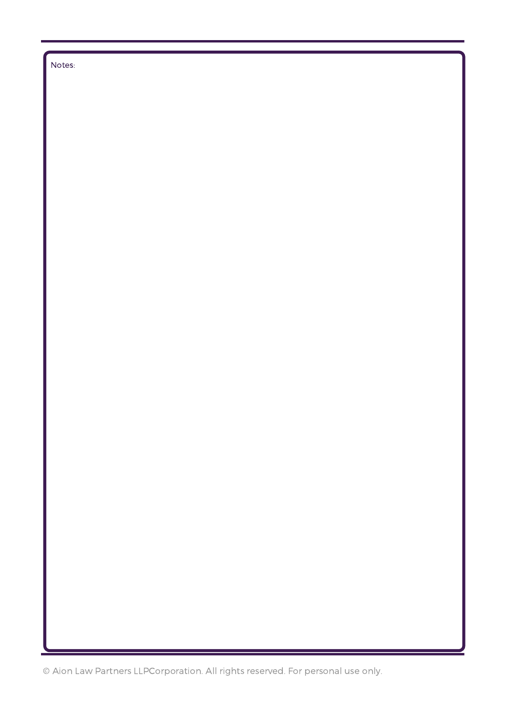Notes:

© Aion Law Partners LLPCorporation. All rights reserved. For personal use only.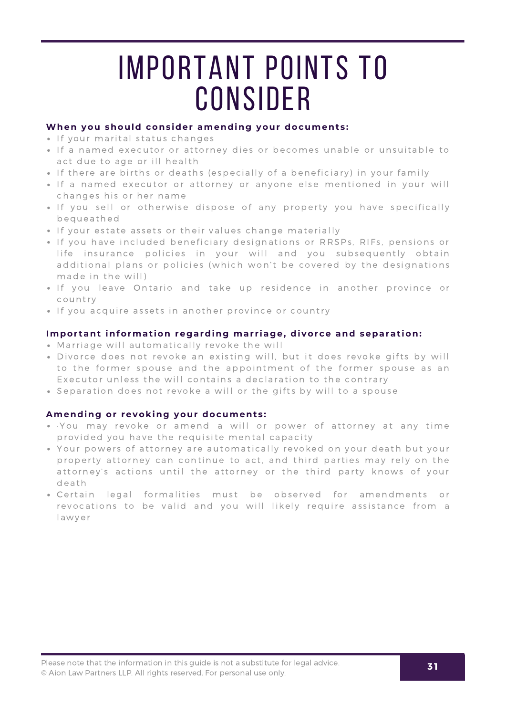# **IMPORTANT POINTS TO CONSIDER**

#### **When you should consider amending your documents:**

- . If your marital status changes
- If a named executor or attorney dies or becomes unable or unsuitable to act due to age or ill health
- If there are births or deaths (especially of a beneficiary) in your family
- If a named executor or attorney or anyone else mentioned in your will changes his or her name
- If you sell or otherwise dispose of any property you have specifically b e q u e a t h e d
- If your estate assets or their values change materially
- . If you have included beneficiary designations or RRSPs, RIFs, pensions or life insurance policies in your will and you subsequently obtain additional plans or policies (which won't be covered by the designations made in the will)
- If you leave Ontario and take up residence in another province or country
- If you acquire assets in another province or country

#### **Important information regarding marriage, divorce and separation:**

- Marriage will automatically revoke the will
- Divorce does not revoke an existing will, but it does revoke gifts by will to the former spouse and the appointment of the former spouse as an Executor unless the will contains a declaration to the contrary
- Separation does not revoke a will or the gifts by will to a spouse

#### **Amending or revoking your documents:**

- You may revoke or amend a will or power of attorney at any time provided you have the requisite mental capacity
- Your powers of attorney are automatically revoked on your death but your property attorney can continue to act, and third parties may rely on the attorney's actions until the attorney or the third party knows of your death
- . Certain legal formalities must be observed for amendments or revocations to be valid and you will likely require assistance from a l awyer